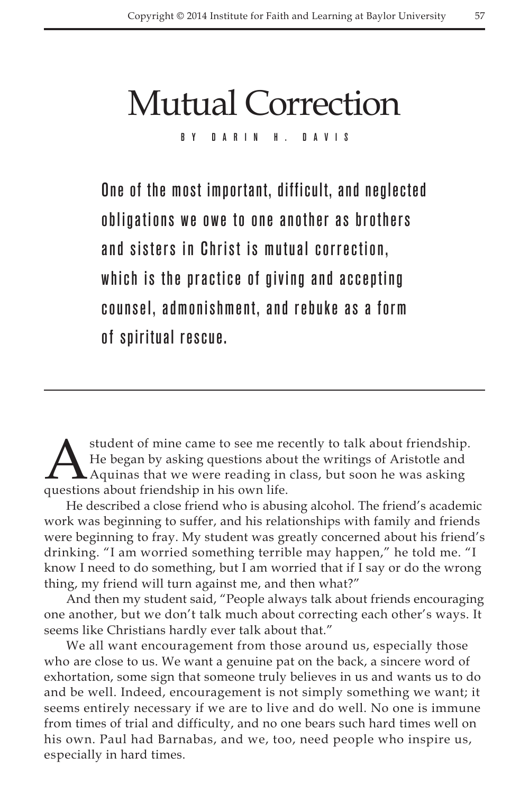# Mutual Correction

By Darin H. Davis

One of the most important, difficult, and neglected obligations we owe to one another as brothers and sisters in Christ is mutual correction, which is the practice of giving and accepting counsel, admonishment, and rebuke as a form of spiritual rescue.

A student of mine came to see me recently to talk about friendship.<br>He began by asking questions about the writings of Aristotle and<br>Aquinas that we were reading in class, but soon he was asking<br>questions about friendship He began by asking questions about the writings of Aristotle and Aquinas that we were reading in class, but soon he was asking questions about friendship in his own life.

He described a close friend who is abusing alcohol. The friend's academic work was beginning to suffer, and his relationships with family and friends were beginning to fray. My student was greatly concerned about his friend's drinking. "I am worried something terrible may happen," he told me. "I know I need to do something, but I am worried that if I say or do the wrong thing, my friend will turn against me, and then what?"

And then my student said, "People always talk about friends encouraging one another, but we don't talk much about correcting each other's ways. It seems like Christians hardly ever talk about that."

We all want encouragement from those around us, especially those who are close to us. We want a genuine pat on the back, a sincere word of exhortation, some sign that someone truly believes in us and wants us to do and be well. Indeed, encouragement is not simply something we want; it seems entirely necessary if we are to live and do well. No one is immune from times of trial and difficulty, and no one bears such hard times well on his own. Paul had Barnabas, and we, too, need people who inspire us, especially in hard times.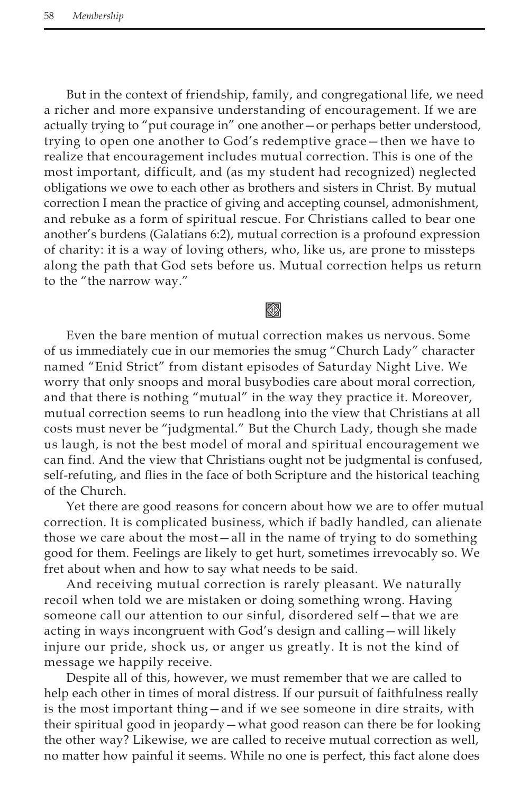But in the context of friendship, family, and congregational life, we need a richer and more expansive understanding of encouragement. If we are actually trying to "put courage in" one another—or perhaps better understood, trying to open one another to God's redemptive grace—then we have to realize that encouragement includes mutual correction. This is one of the most important, difficult, and (as my student had recognized) neglected obligations we owe to each other as brothers and sisters in Christ. By mutual correction I mean the practice of giving and accepting counsel, admonishment, and rebuke as a form of spiritual rescue. For Christians called to bear one another's burdens (Galatians 6:2), mutual correction is a profound expression of charity: it is a way of loving others, who, like us, are prone to missteps along the path that God sets before us. Mutual correction helps us return to the "the narrow way."

## Kon

Even the bare mention of mutual correction makes us nervous. Some of us immediately cue in our memories the smug "Church Lady" character named "Enid Strict" from distant episodes of Saturday Night Live. We worry that only snoops and moral busybodies care about moral correction, and that there is nothing "mutual" in the way they practice it. Moreover, mutual correction seems to run headlong into the view that Christians at all costs must never be "judgmental." But the Church Lady, though she made us laugh, is not the best model of moral and spiritual encouragement we can find. And the view that Christians ought not be judgmental is confused, self-refuting, and flies in the face of both Scripture and the historical teaching of the Church.

Yet there are good reasons for concern about how we are to offer mutual correction. It is complicated business, which if badly handled, can alienate those we care about the most—all in the name of trying to do something good for them. Feelings are likely to get hurt, sometimes irrevocably so. We fret about when and how to say what needs to be said.

And receiving mutual correction is rarely pleasant. We naturally recoil when told we are mistaken or doing something wrong. Having someone call our attention to our sinful, disordered self—that we are acting in ways incongruent with God's design and calling—will likely injure our pride, shock us, or anger us greatly. It is not the kind of message we happily receive.

Despite all of this, however, we must remember that we are called to help each other in times of moral distress. If our pursuit of faithfulness really is the most important thing—and if we see someone in dire straits, with their spiritual good in jeopardy—what good reason can there be for looking the other way? Likewise, we are called to receive mutual correction as well, no matter how painful it seems. While no one is perfect, this fact alone does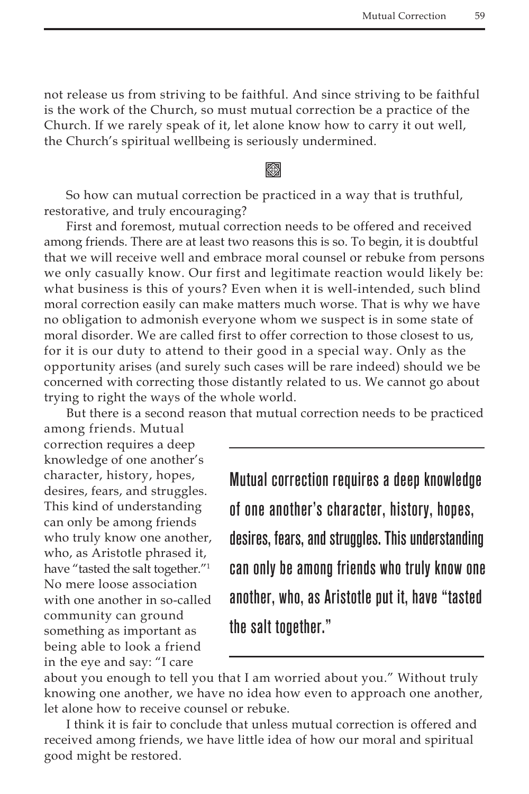not release us from striving to be faithful. And since striving to be faithful is the work of the Church, so must mutual correction be a practice of the Church. If we rarely speak of it, let alone know how to carry it out well, the Church's spiritual wellbeing is seriously undermined.

### **Keep**

So how can mutual correction be practiced in a way that is truthful, restorative, and truly encouraging?

First and foremost, mutual correction needs to be offered and received among friends. There are at least two reasons this is so. To begin, it is doubtful that we will receive well and embrace moral counsel or rebuke from persons we only casually know. Our first and legitimate reaction would likely be: what business is this of yours? Even when it is well-intended, such blind moral correction easily can make matters much worse. That is why we have no obligation to admonish everyone whom we suspect is in some state of moral disorder. We are called first to offer correction to those closest to us, for it is our duty to attend to their good in a special way. Only as the opportunity arises (and surely such cases will be rare indeed) should we be concerned with correcting those distantly related to us. We cannot go about trying to right the ways of the whole world.

But there is a second reason that mutual correction needs to be practiced

among friends. Mutual correction requires a deep knowledge of one another's character, history, hopes, desires, fears, and struggles. This kind of understanding can only be among friends who truly know one another, who, as Aristotle phrased it, have "tasted the salt together."1 No mere loose association with one another in so-called community can ground something as important as being able to look a friend in the eye and say: "I care

Mutual correction requires a deep knowledge of one another's character, history, hopes, desires, fears, and struggles. This understanding can only be among friends who truly know one another, who, as Aristotle put it, have "tasted the salt together."

about you enough to tell you that I am worried about you." Without truly knowing one another, we have no idea how even to approach one another, let alone how to receive counsel or rebuke.

I think it is fair to conclude that unless mutual correction is offered and received among friends, we have little idea of how our moral and spiritual good might be restored.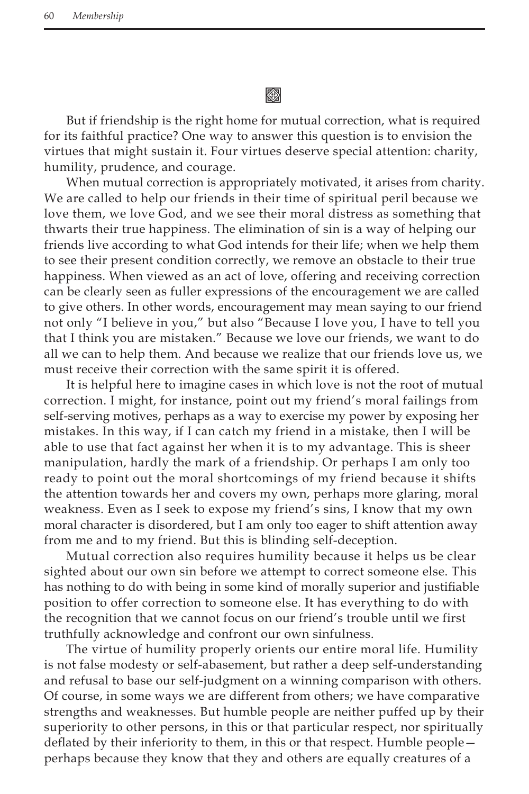缀

But if friendship is the right home for mutual correction, what is required for its faithful practice? One way to answer this question is to envision the virtues that might sustain it. Four virtues deserve special attention: charity, humility, prudence, and courage.

When mutual correction is appropriately motivated, it arises from charity. We are called to help our friends in their time of spiritual peril because we love them, we love God, and we see their moral distress as something that thwarts their true happiness. The elimination of sin is a way of helping our friends live according to what God intends for their life; when we help them to see their present condition correctly, we remove an obstacle to their true happiness. When viewed as an act of love, offering and receiving correction can be clearly seen as fuller expressions of the encouragement we are called to give others. In other words, encouragement may mean saying to our friend not only "I believe in you," but also "Because I love you, I have to tell you that I think you are mistaken." Because we love our friends, we want to do all we can to help them. And because we realize that our friends love us, we must receive their correction with the same spirit it is offered.

It is helpful here to imagine cases in which love is not the root of mutual correction. I might, for instance, point out my friend's moral failings from self-serving motives, perhaps as a way to exercise my power by exposing her mistakes. In this way, if I can catch my friend in a mistake, then I will be able to use that fact against her when it is to my advantage. This is sheer manipulation, hardly the mark of a friendship. Or perhaps I am only too ready to point out the moral shortcomings of my friend because it shifts the attention towards her and covers my own, perhaps more glaring, moral weakness. Even as I seek to expose my friend's sins, I know that my own moral character is disordered, but I am only too eager to shift attention away from me and to my friend. But this is blinding self-deception.

Mutual correction also requires humility because it helps us be clear sighted about our own sin before we attempt to correct someone else. This has nothing to do with being in some kind of morally superior and justifiable position to offer correction to someone else. It has everything to do with the recognition that we cannot focus on our friend's trouble until we first truthfully acknowledge and confront our own sinfulness.

The virtue of humility properly orients our entire moral life. Humility is not false modesty or self-abasement, but rather a deep self-understanding and refusal to base our self-judgment on a winning comparison with others. Of course, in some ways we are different from others; we have comparative strengths and weaknesses. But humble people are neither puffed up by their superiority to other persons, in this or that particular respect, nor spiritually deflated by their inferiority to them, in this or that respect. Humble people perhaps because they know that they and others are equally creatures of a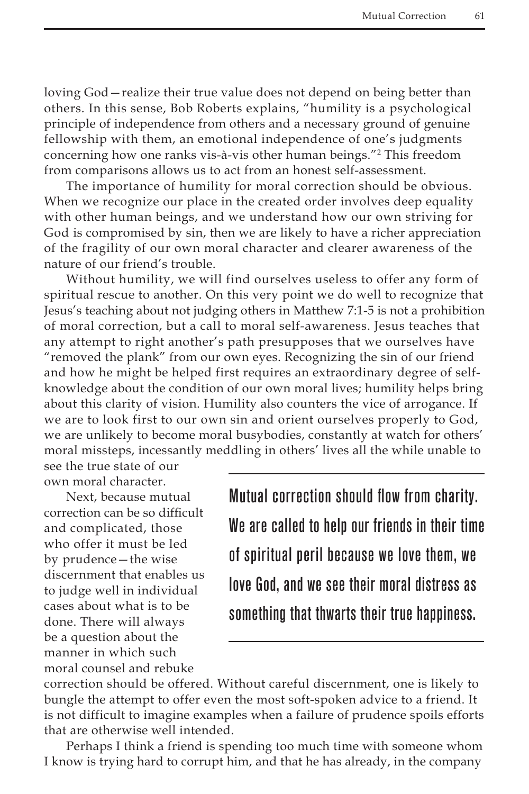loving God—realize their true value does not depend on being better than others. In this sense, Bob Roberts explains, "humility is a psychological principle of independence from others and a necessary ground of genuine fellowship with them, an emotional independence of one's judgments concerning how one ranks vis-à-vis other human beings."2 This freedom from comparisons allows us to act from an honest self-assessment.

The importance of humility for moral correction should be obvious. When we recognize our place in the created order involves deep equality with other human beings, and we understand how our own striving for God is compromised by sin, then we are likely to have a richer appreciation of the fragility of our own moral character and clearer awareness of the nature of our friend's trouble.

Without humility, we will find ourselves useless to offer any form of spiritual rescue to another. On this very point we do well to recognize that Jesus's teaching about not judging others in Matthew 7:1-5 is not a prohibition of moral correction, but a call to moral self-awareness. Jesus teaches that any attempt to right another's path presupposes that we ourselves have "removed the plank" from our own eyes. Recognizing the sin of our friend and how he might be helped first requires an extraordinary degree of selfknowledge about the condition of our own moral lives; humility helps bring about this clarity of vision. Humility also counters the vice of arrogance. If we are to look first to our own sin and orient ourselves properly to God, we are unlikely to become moral busybodies, constantly at watch for others' moral missteps, incessantly meddling in others' lives all the while unable to

see the true state of our own moral character.

Next, because mutual correction can be so difficult and complicated, those who offer it must be led by prudence—the wise discernment that enables us to judge well in individual cases about what is to be done. There will always be a question about the manner in which such moral counsel and rebuke

Mutual correction should flow from charity. We are called to help our friends in their time of spiritual peril because we love them, we love God, and we see their moral distress as something that thwarts their true happiness.

correction should be offered. Without careful discernment, one is likely to bungle the attempt to offer even the most soft-spoken advice to a friend. It is not difficult to imagine examples when a failure of prudence spoils efforts that are otherwise well intended.

Perhaps I think a friend is spending too much time with someone whom I know is trying hard to corrupt him, and that he has already, in the company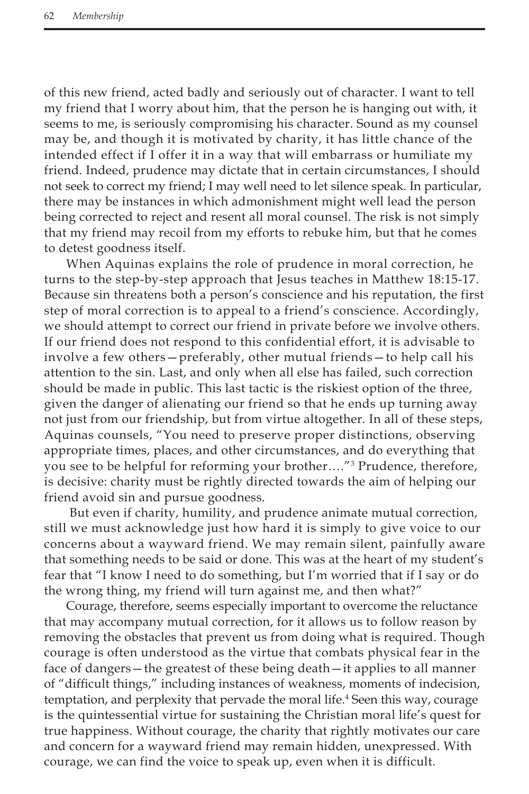of this new friend, acted badly and seriously out of character. I want to tell my friend that I worry about him, that the person he is hanging out with, it seems to me, is seriously compromising his character. Sound as my counsel may be, and though it is motivated by charity, it has little chance of the intended effect if I offer it in a way that will embarrass or humiliate my friend. Indeed, prudence may dictate that in certain circumstances, I should not seek to correct my friend; I may well need to let silence speak. In particular, there may be instances in which admonishment might well lead the person being corrected to reject and resent all moral counsel. The risk is not simply that my friend may recoil from my efforts to rebuke him, but that he comes to detest goodness itself.

When Aquinas explains the role of prudence in moral correction, he turns to the step-by-step approach that Jesus teaches in Matthew 18:15-17. Because sin threatens both a person's conscience and his reputation, the first step of moral correction is to appeal to a friend's conscience. Accordingly, we should attempt to correct our friend in private before we involve others. If our friend does not respond to this confidential effort, it is advisable to involve a few others—preferably, other mutual friends—to help call his attention to the sin. Last, and only when all else has failed, such correction should be made in public. This last tactic is the riskiest option of the three, given the danger of alienating our friend so that he ends up turning away not just from our friendship, but from virtue altogether. In all of these steps, Aquinas counsels, "You need to preserve proper distinctions, observing appropriate times, places, and other circumstances, and do everything that you see to be helpful for reforming your brother…."3 Prudence, therefore, is decisive: charity must be rightly directed towards the aim of helping our friend avoid sin and pursue goodness.

 But even if charity, humility, and prudence animate mutual correction, still we must acknowledge just how hard it is simply to give voice to our concerns about a wayward friend. We may remain silent, painfully aware that something needs to be said or done. This was at the heart of my student's fear that "I know I need to do something, but I'm worried that if I say or do the wrong thing, my friend will turn against me, and then what?"

Courage, therefore, seems especially important to overcome the reluctance that may accompany mutual correction, for it allows us to follow reason by removing the obstacles that prevent us from doing what is required. Though courage is often understood as the virtue that combats physical fear in the face of dangers—the greatest of these being death—it applies to all manner of "difficult things," including instances of weakness, moments of indecision, temptation, and perplexity that pervade the moral life.<sup>4</sup> Seen this way, courage is the quintessential virtue for sustaining the Christian moral life's quest for true happiness. Without courage, the charity that rightly motivates our care and concern for a wayward friend may remain hidden, unexpressed. With courage, we can find the voice to speak up, even when it is difficult.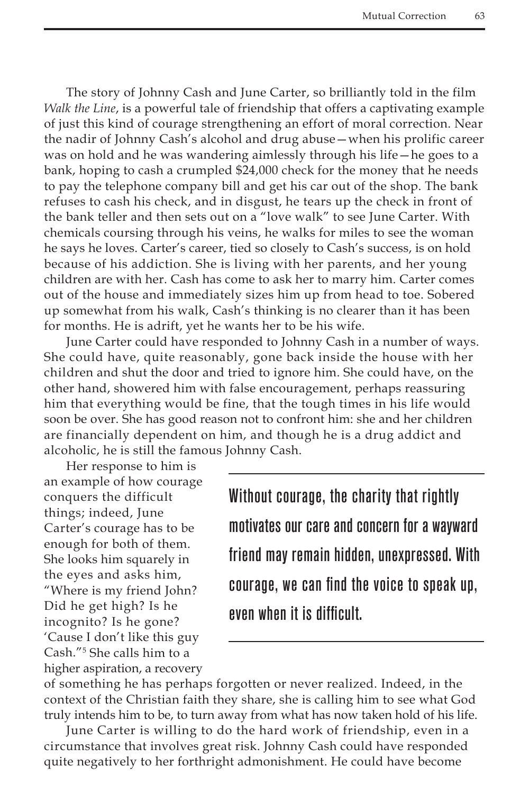The story of Johnny Cash and June Carter, so brilliantly told in the film *Walk the Line*, is a powerful tale of friendship that offers a captivating example of just this kind of courage strengthening an effort of moral correction. Near the nadir of Johnny Cash's alcohol and drug abuse—when his prolific career was on hold and he was wandering aimlessly through his life—he goes to a bank, hoping to cash a crumpled \$24,000 check for the money that he needs to pay the telephone company bill and get his car out of the shop. The bank refuses to cash his check, and in disgust, he tears up the check in front of the bank teller and then sets out on a "love walk" to see June Carter. With chemicals coursing through his veins, he walks for miles to see the woman he says he loves. Carter's career, tied so closely to Cash's success, is on hold because of his addiction. She is living with her parents, and her young children are with her. Cash has come to ask her to marry him. Carter comes out of the house and immediately sizes him up from head to toe. Sobered up somewhat from his walk, Cash's thinking is no clearer than it has been for months. He is adrift, yet he wants her to be his wife.

June Carter could have responded to Johnny Cash in a number of ways. She could have, quite reasonably, gone back inside the house with her children and shut the door and tried to ignore him. She could have, on the other hand, showered him with false encouragement, perhaps reassuring him that everything would be fine, that the tough times in his life would soon be over. She has good reason not to confront him: she and her children are financially dependent on him, and though he is a drug addict and alcoholic, he is still the famous Johnny Cash.

Her response to him is an example of how courage conquers the difficult things; indeed, June Carter's courage has to be enough for both of them. She looks him squarely in the eyes and asks him, "Where is my friend John? Did he get high? Is he incognito? Is he gone? 'Cause I don't like this guy Cash."5 She calls him to a higher aspiration, a recovery

Without courage, the charity that rightly motivates our care and concern for a wayward friend may remain hidden, unexpressed. With courage, we can find the voice to speak up, even when it is difficult.

of something he has perhaps forgotten or never realized. Indeed, in the context of the Christian faith they share, she is calling him to see what God truly intends him to be, to turn away from what has now taken hold of his life.

June Carter is willing to do the hard work of friendship, even in a circumstance that involves great risk. Johnny Cash could have responded quite negatively to her forthright admonishment. He could have become